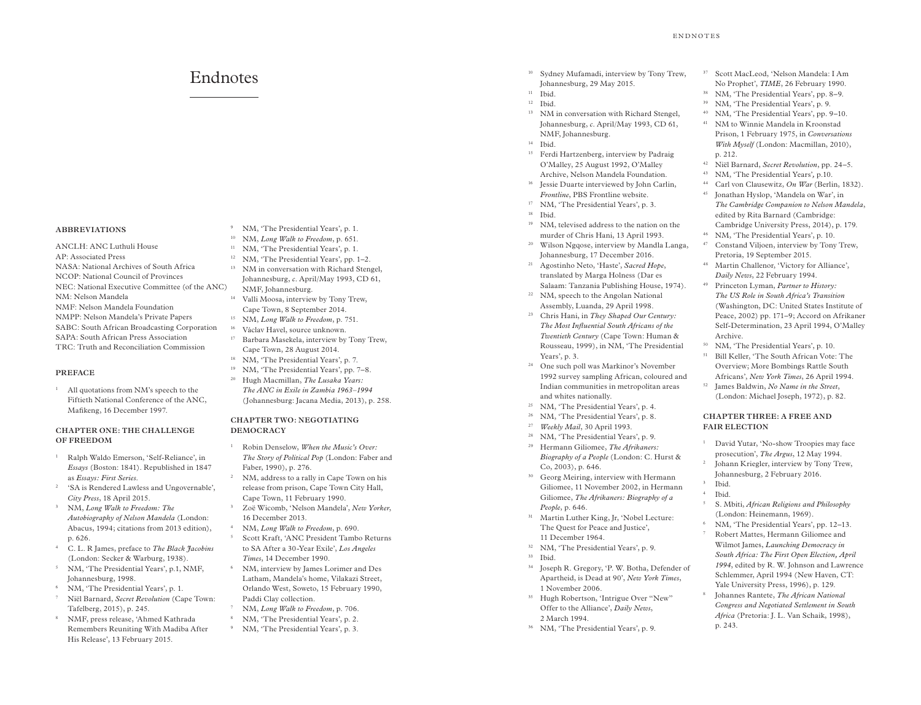# Endnotes

#### **ABBREVIATIONS**

ANCLH: ANC Luthuli House AP: Associated Press NASA: National Archives of South Africa NCOP: National Council of Provinces NEC: National Executive Committee (of the ANC) NM: Nelson Mandela NMF: Nelson Mandela Foundation NMPP: Nelson Mandela's Private Papers SABC: South African Broadcasting Corporation SAPA: South African Press Association TRC: Truth and Reconciliation Commission

### **PREFACE**

<sup>1</sup> All quotations from NM's speech to the Fiftieth National Conference of the ANC, Mafikeng, 16 December 1997.

### **CHAPTER ONE: THE CHALLENGE OF FREEDOM**

- <sup>1</sup> Ralph Waldo Emerson, 'Self-Reliance', in *Essays* (Boston: 1841). Republished in 1847 as *Essays: First Series*.
- 'SA is Rendered Lawless and Ungovernable', *City Press*, 18 April 2015.
- <sup>3</sup> NM, *Long Walk to Freedom: The Autobiography of Nelson Mandela* (London: Abacus, 1994; citations from 2013 edition), p. 626.
- <sup>4</sup> C. L. R James, preface to *The Black Jacobins* (London: Secker & Warburg, 1938).
- <sup>5</sup> NM, 'The Presidential Years', p.1, NMF, Johannesburg, 1998.
- <sup>6</sup> NM, 'The Presidential Years', p. 1.
- <sup>7</sup> Niël Barnard, *Secret Revolution* (Cape Town: Tafelberg, 2015), p. 245.
- <sup>8</sup> NMF, press release, 'Ahmed Kathrada Remembers Reuniting With Madiba After His Release', 13 February 2015.
- <sup>9</sup> NM, 'The Presidential Years', p. 1.
- <sup>10</sup> NM, *Long Walk to Freedom*, p. 651.
- <sup>11</sup> NM, 'The Presidential Years', p. 1.
- <sup>12</sup> NM, 'The Presidential Years', pp. 1–2. <sup>13</sup> NM in conversation with Richard Stengel, Johannesburg, *c*. April/May 1993, CD 61,
- NMF, Johannesburg. <sup>14</sup> Valli Moosa, interview by Tony Trew,
- Cape Town, 8 September 2014.
- <sup>15</sup> NM, *Long Walk to Freedom*, p. 751.
- <sup>16</sup> Václav Havel, source unknown.
- <sup>17</sup> Barbara Masekela, interview by Tony Trew, Cape Town, 28 August 2014.
- <sup>18</sup> NM, 'The Presidential Years', p. 7.
- <sup>19</sup> NM, 'The Presidential Years', pp. 7-8.
- <sup>20</sup> Hugh Macmillan, *The Lusaka Years: The ANC in Exile in Zambia 1963–1994* (Johannesburg: Jacana Media, 2013), p. 258.

## **CHAPTER TWO: NEGOTIATING DEMOCRACY**

- <sup>1</sup> Robin Denselow, *When the Music's Over: The Story of Political Pop* (London: Faber and Faber, 1990), p. 276.
- NM, address to a rally in Cape Town on his release from prison, Cape Town City Hall, Cape Town, 11 February 1990.
- <sup>3</sup> Zoë Wicomb, 'Nelson Mandela', *New Yorker*, 16 December 2013.
- <sup>4</sup> NM, *Long Walk to Freedom*, p. 690. <sup>5</sup> Scott Kraft, 'ANC President Tambo Returns
- to SA After a 30-Year Exile', *Los Angeles Times*, 14 December 1990. <sup>6</sup> NM, interview by James Lorimer and Des
- Latham, Mandela's home, Vilakazi Street, Orlando West, Soweto, 15 February 1990, Paddi Clay collection.
- <sup>7</sup> NM, *Long Walk to Freedom*, p. 706.
- <sup>8</sup> NM, 'The Presidential Years', p. 2.
- <sup>9</sup> NM, 'The Presidential Years', p. 3.
- <sup>10</sup> Sydney Mufamadi, interview by Tony Trew, Johannesburg, 29 May 2015.
- <sup>11</sup> Ibid.
- $12$  Ibid.
- NM in conversation with Richard Stengel, Johannesburg, *c*. April/May 1993, CD 61, NMF, Johannesburg.
- <sup>14</sup> Ibid.
- <sup>15</sup> Ferdi Hartzenberg, interview by Padraig O'Malley, 25 August 1992, O'Malley Archive, Nelson Mandela Foundation.
- <sup>16</sup> Jessie Duarte interviewed by John Carlin, *Frontline*, PBS Frontline website.
- <sup>17</sup> NM, 'The Presidential Years', p. 3.
- <sup>18</sup> Ibid.
- <sup>19</sup> NM, televised address to the nation on the murder of Chris Hani, 13 April 1993.
- <sup>20</sup> Wilson Ngqose, interview by Mandla Langa, Johannesburg, 17 December 2016.
- <sup>21</sup> Agostinho Neto, 'Haste', *Sacred Hope*, translated by Marga Holness (Dar es Salaam: Tanzania Publishing House, 1974).
- <sup>22</sup> NM, speech to the Angolan National Assembly, Luanda, 29 April 1998.
- <sup>23</sup> Chris Hani, in *They Shaped Our Century: The Most Influential South Africans of the Twentieth Century* (Cape Town: Human & Rousseau, 1999), in NM, 'The Presidential Years', p. 3.
- <sup>24</sup> One such poll was Markinor's November 1992 survey sampling African, coloured and Indian communities in metropolitan areas and whites nationally.
- <sup>25</sup> NM, 'The Presidential Years', p. 4.
- <sup>26</sup> NM, 'The Presidential Years', p. 8.<br><sup>27</sup> *Weekly Mail* 30 April 1993
- <sup>27</sup> *Weekly Mail*, 30 April 1993.
- <sup>28</sup> NM, 'The Presidential Years', p. 9.
- <sup>29</sup> Hermann Giliomee, *The Afrikaners: Biography of a People* (London: C. Hurst & Co, 2003), p. 646.
- <sup>30</sup> Georg Meiring, interview with Hermann Giliomee, 11 November 2002, in Hermann Giliomee, *The Afrikaners: Biography of a People*, p. 646.
- <sup>31</sup> Martin Luther King, Jr, 'Nobel Lecture: The Quest for Peace and Justice', 11 December 1964.
- <sup>32</sup> NM, 'The Presidential Years', p. 9.
- <sup>33</sup> Ibid.
- <sup>34</sup> Joseph R. Gregory, 'P. W. Botha, Defender of Apartheid, is Dead at 90', *New York Times*, 1 November 2006.
- <sup>35</sup> Hugh Robertson, 'Intrigue Over "New" Offer to the Alliance', *Daily News*, 2 March 1994.
- <sup>36</sup> NM, 'The Presidential Years', p. 9.
- <sup>37</sup> Scott MacLeod, 'Nelson Mandela: I Am No Prophet', *TIME*, 26 February 1990.
- <sup>38</sup> NM, 'The Presidential Years', pp. 8–9.
- <sup>39</sup> NM, 'The Presidential Years', p. 9.
- <sup>40</sup> NM, 'The Presidential Years', pp. 9–10. <sup>41</sup> NM to Winnie Mandela in Kroonstad
- Prison, 1 February 1975, in *Conversations With Myself* (London: Macmillan, 2010), p. 212.
- <sup>42</sup> Niël Barnard, *Secret Revolution*, pp. 24–5.
- <sup>43</sup> NM, 'The Presidential Years'*,* p.10.
- <sup>44</sup> Carl von Clausewitz, *On War* (Berlin, 1832).
- <sup>45</sup> Jonathan Hyslop, 'Mandela on War', in *The Cambridge Companion to Nelson Mandela*, edited by Rita Barnard (Cambridge: Cambridge University Press, 2014), p. 179.
- <sup>46</sup> NM, 'The Presidential Years', p. 10.
- <sup>47</sup> Constand Viljoen, interview by Tony Trew, Pretoria, 19 September 2015.
- <sup>48</sup> Martin Challenor, 'Victory for Alliance', *Daily News*, 22 February 1994.
- <sup>49</sup> Princeton Lyman, *Partner to History: The US Role in South Africa's Transition* (Washington, DC: United States Institute of Peace, 2002) pp. 171–9; Accord on Afrikaner Self-Determination, 23 April 1994, O'Malley Archive.
- <sup>50</sup> NM, 'The Presidential Years', p. 10.
- <sup>51</sup> Bill Keller, 'The South African Vote: The Overview; More Bombings Rattle South Africans', *New York Times*, 26 April 1994.
- <sup>52</sup> James Baldwin, *No Name in the Street*, (London: Michael Joseph, 1972), p. 82.

## **CHAPTER THREE: A FREE AND FAIR ELECTION**

- <sup>1</sup> David Yutar, 'No-show Troopies may face prosecution', *The Argus*, 12 May 1994.
- <sup>2</sup> Johann Kriegler, interview by Tony Trew, Johannesburg, 2 February 2016.
- <sup>3</sup> Ibid. <sup>4</sup> Ibid.
- <sup>5</sup> S. Mbiti, *African Religions and Philosophy* (London: Heinemann, 1969).
- <sup>6</sup> NM, 'The Presidential Years', pp. 12–13. <sup>7</sup> Robert Mattes, Hermann Giliomee and Wilmot James, *Launching Democracy in South Africa: The First Open Election, April 1994*, edited by R. W. Johnson and Lawrence Schlemmer, April 1994 (New Haven, CT: Yale University Press, 1996), p. 129.
- <sup>8</sup> Johannes Rantete, *The African National Congress and Negotiated Settlement in South Africa* (Pretoria: J. L. Van Schaik, 1998), p. 243.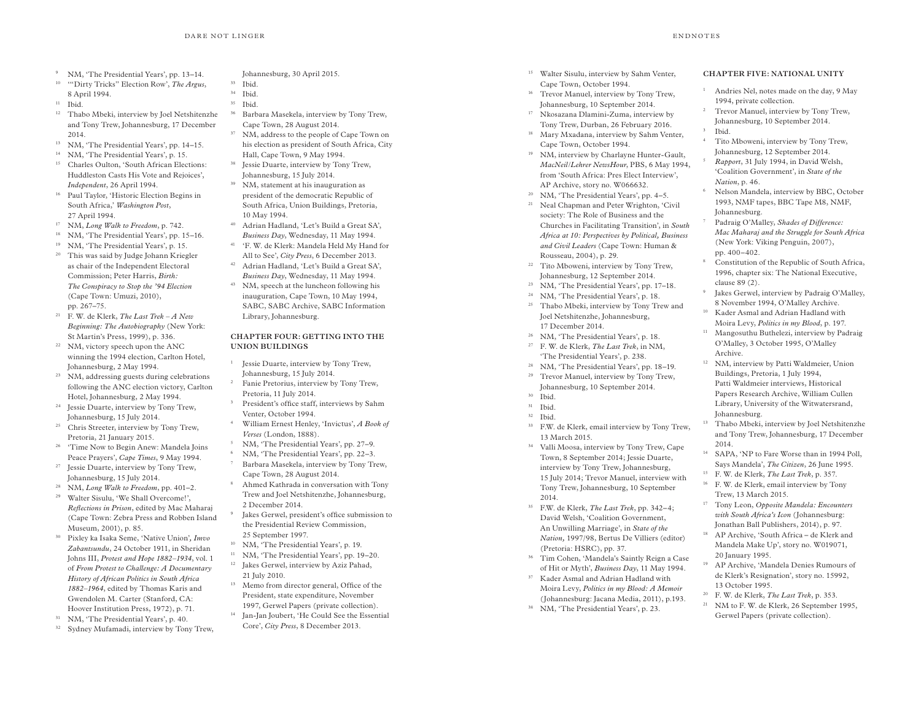- 9 NM, 'The Presidential Years', pp. 13–14.
- 10 '"Dirty Tricks" Election Row', *The Argus*, 8 April 1994.
- $11$  Ibid.
- 12 Thabo Mbeki, interview by Joel Netshitenzhe and Tony Trew, Johannesburg, 17 December 2014.
- 13 NM, 'The Presidential Years', pp. 14–15.
- 14 NM, 'The Presidential Years', p. 15.
- 15 Charles Oulton, 'South African Elections: Huddleston Casts His Vote and Rejoices', *Independent*, 26 April 1994.
- 16 Paul Taylor, 'Historic Election Begins in South Africa,' *Washington Post*, 27 April 1994.
- <sup>17</sup> NM, *Long Walk to Freedom*, p. 742.
- 18 NM, 'The Presidential Years', pp. 15–16.
- 19 NM, 'The Presidential Years', p. 15.
- 20 This was said by Judge Johann Kriegler as chair of the Independent Electoral Commission; Peter Harris, *Birth: The Conspiracy to Stop the '94 Election* (Cape Town: Umuzi, 2010), pp. 267–75.
- 21 F. W. de Klerk, *The Last Trek – A New Beginning: The Autobiography* (New York: St Martin's Press, 1999), p. 336.
- 22 NM, victory speech upon the ANC winning the 1994 election, Carlton Hotel, Johannesburg, 2 May 1994.
- 23 NM, addressing guests during celebrations following the ANC election victory, Carlton Hotel, Johannesburg, 2 May 1994.
- 24 Jessie Duarte, interview by Tony Trew, Johannesburg, 15 July 2014.
- <sup>25</sup> Chris Streeter, interview by Tony Trew, Pretoria, 21 January 2015.
- 26 'Time Now to Begin Anew: Mandela Joins Peace Prayers', *Cape Times*, 9 May 1994.
- 27 Jessie Duarte, interview by Tony Trew, Johannesburg, 15 July 2014.
- 28 NM, *Long Walk to Freedom*, pp. 401–2.
- 29 Walter Sisulu, 'We Shall Overcome!', *Reflections in Prison*, edited by Mac Maharaj (Cape Town: Zebra Press and Robben Island Museum, 2001), p. 85.
- 30 Pixley ka Isaka Seme, 'Native Union'*, Imvo Zabantsundu*, 24 October 1911, in Sheridan Johns III, *Protest and Hope 1882–1934*, vol. 1 of *From Protest to Challenge: A Documentary History of African Politics in South Africa 1882–1964*, edited by Thomas Karis and Gwendolen M. Carter (Stanford, CA: Hoover Institution Press, 1972), p. 71.
- 31 NM, 'The Presidential Years', p. 40.
- <sup>32</sup> Sydney Mufamadi, interview by Tony Trew,

Johannesburg, 30 April 2015.

- <sup>33</sup> Ibid.
- <sup>34</sup> Ibid.  $35$  Ibid.
- 36 Barbara Masekela, interview by Tony Trew, Cape Town, 28 August 2014.
- <sup>37</sup> NM, address to the people of Cape Town on his election as president of South Africa, City Hall, Cape Town, 9 May 1994.
- 38 Jessie Duarte, interview by Tony Trew, Johannesburg, 15 July 2014.
- 39 NM, statement at his inauguration as president of the democratic Republic of South Africa, Union Buildings, Pretoria, 10 May 1994.
- 40 Adrian Hadland, 'Let's Build a Great SA', *Business Day*, Wednesday, 11 May 1994.
- 41 'F. W. de Klerk: Mandela Held My Hand for All to See', *City Press*, 6 December 2013.
- 42 Adrian Hadland, 'Let's Build a Great SA', *Business Day*, Wednesday, 11 May 1994.
- <sup>43</sup> NM, speech at the luncheon following his inauguration, Cape Town, 10 May 1994, SABC, SABC Archive, SABC Information Library, Johannesburg.

# **CHAPTER FOUR: GETTING INTO THE UNION BUILDINGS**

- <sup>1</sup> Jessie Duarte, interview by Tony Trew, Johannesburg, 15 July 2014.
- 2 Fanie Pretorius, interview by Tony Trew, Pretoria, 11 July 2014.
- 3 President's office staff, interviews by Sahm Venter, October 1994.
- William Ernest Henley, 'Invictus', *A Book of Verses* (London, 1888).
- 5 NM, 'The Presidential Years', pp. 27–9.

4

- 6 NM, 'The Presidential Years', pp. 22–3. 7 Barbara Masekela, interview by Tony Trew, Cape Town, 28 August 2014.
- 8 Ahmed Kathrada in conversation with Tony Trew and Joel Netshitenzhe, Johannesburg, 2 December 2014.
- 9 Jakes Gerwel, president's office submission to the Presidential Review Commission, 25 September 1997.
- 10 NM, 'The Presidential Years', p. 19.
- <sup>11</sup> NM, 'The Presidential Years', pp. 19-20. 12 Jakes Gerwel, interview by Aziz Pahad, 21 July 2010.
- 13 Memo from director general, Office of the President, state expenditure, November 1997, Gerwel Papers (private collection).
- 14 Jan-Jan Joubert, 'He Could See the Essential Core', *City Press*, 8 December 2013.
- <sup>15</sup> Walter Sisulu, interview by Sahm Venter, Cape Town, October 1994.
- 16 Trevor Manuel, interview by Tony Trew, Johannesburg, 10 September 2014.
- 17 Nkosazana Dlamini-Zuma, interview by Tony Trew, Durban, 26 February 2016.
- <sup>18</sup> Mary Mxadana, interview by Sahm Venter, Cape Town, October 1994.
- 19 NM, interview by Charlayne Hunter-Gault, *MacNeil/Lehrer NewsHour*, PBS, 6 May 1994, from 'South Africa: Pres Elect Interview', AP Archive, story no. W066632.
- 20 NM, 'The Presidential Years', pp. 4–5.
- <sup>21</sup> Neal Chapman and Peter Wrighton, 'Civil society: The Role of Business and the Churches in Facilitating Transition', in *South Africa at 10: Perspectives by Political, Business and Civil Leaders* (Cape Town: Human & Rousseau, 2004), p. 29.
- 22 Tito Mboweni, interview by Tony Trew,
- Johannesburg, 12 September 2014.
- 23 NM, 'The Presidential Years', pp. 17–18. 24 NM, 'The Presidential Years', p. 18.
- 25 Thabo Mbeki, interview by Tony Trew and Joel Netshitenzhe, Johannesburg, 17 December 2014.
- 26 NM, 'The Presidential Years', p. 18.
- 27 F. W. de Klerk, *The Last Trek*, in NM,
- 'The Presidential Years', p. 238.
- 28 NM, 'The Presidential Years', pp. 18–19.
- 29 Trevor Manuel, interview by Tony Trew, Johannesburg, 10 September 2014.
- <sup>30</sup> Ibid.
- <sup>31</sup> Ibid. <sup>32</sup> Ibid.
- 33 F.W. de Klerk, email interview by Tony Trew,
- 13 March 2015. 34 Valli Moosa, interview by Tony Trew, Cape Town, 8 September 2014; Jessie Duarte, interview by Tony Trew, Johannesburg, 15 July 2014; Trevor Manuel, interview with Tony Trew, Johannesburg, 10 September 2014.
- 35 F.W. de Klerk, *The Last Trek*, pp. 342–4; David Welsh, 'Coalition Government, An Unwilling Marriage', in *State of the Nation,* 1997/98, Bertus De Villiers (editor) (Pretoria: HSRC), pp. 37.
- 36 Tim Cohen, 'Mandela's Saintly Reign a Case of Hit or Myth', *Business Day*, 11 May 1994.
- 37 Kader Asmal and Adrian Hadland with Moira Levy, *Politics in my Blood: A Memoir* (Johannesburg: Jacana Media, 2011), p.193.
- 38 NM, 'The Presidential Years', p. 23.

## **CHAPTER FIVE: NATIONAL UNITY**

- <sup>1</sup> Andries Nel, notes made on the day, 9 May 1994, private collection.
- 2 Trevor Manuel, interview by Tony Trew, Johannesburg, 10 September 2014.
- <sup>3</sup> Ibid. Tito Mboweni, interview by Tony Trew,
- Johannesburg, 12 September 2014. <sup>5</sup> *Rapport*, 31 July 1994, in David Welsh,
- 'Coalition Government', in *State of the Nation*, p. 46.
- 6 Nelson Mandela, interview by BBC, October 1993, NMF tapes, BBC Tape M8, NMF, Johannesburg.
- Padraig O'Malley, *Shades of Difference: Mac Maharaj and the Struggle for South Africa*  (New York: Viking Penguin, 2007), pp. 400–402.
- 8 Constitution of the Republic of South Africa, 1996, chapter six: The National Executive, clause 89 (2).
- 9 Jakes Gerwel, interview by Padraig O'Malley, 8 November 1994, O'Malley Archive.
- 10 Kader Asmal and Adrian Hadland with Moira Levy, *Politics in my Blood*, p. 197.
- <sup>11</sup> Mangosuthu Buthelezi, interview by Padraig O'Malley, 3 October 1995, O'Malley Archive.
- 12 NM, interview by Patti Waldmeier, Union Buildings, Pretoria, 1 July 1994, Patti Waldmeier interviews, Historical Papers Research Archive, William Cullen Library, University of the Witwatersrand, Johannesburg.
- 13 Thabo Mbeki, interview by Joel Netshitenzhe and Tony Trew, Johannesburg, 17 December 2014.
- 14 SAPA, 'NP to Fare Worse than in 1994 Poll, Says Mandela', *The Citizen*, 26 June 1995.
- 15 F. W. de Klerk, *The Last Trek*, p. 357.
- 16 F. W. de Klerk, email interview by Tony Trew, 13 March 2015.
- 17 Tony Leon, *Opposite Mandela: Encounters with South Africa's Icon* (Johannesburg: Jonathan Ball Publishers, 2014), p. 97.
- 18 AP Archive, 'South Africa de Klerk and Mandela Make Up', story no. W019071, 20 January 1995.
- 19 AP Archive, 'Mandela Denies Rumours of de Klerk's Resignation', story no. 15992, 13 October 1995.
- 20 F. W. de Klerk, *The Last Trek*, p. 353.
- 21 NM to F. W. de Klerk, 26 September 1995, Gerwel Papers (private collection).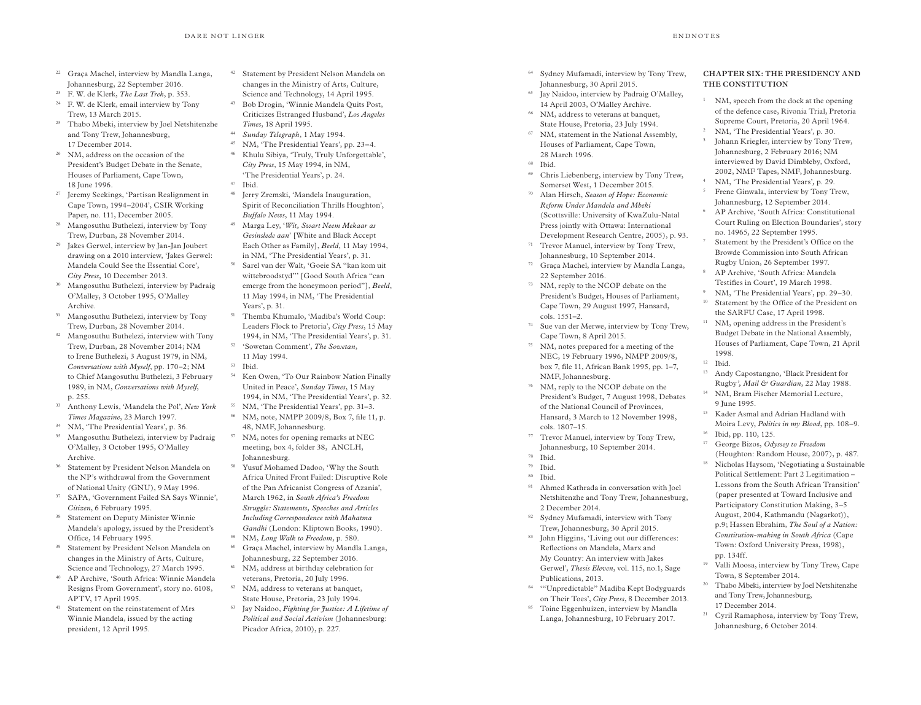- <sup>22</sup> Graca Machel, interview by Mandla Langa, Johannesburg, 22 September 2016.
- 23 F. W. de Klerk, *The Last Trek*, p. 353.
- 24 F. W. de Klerk, email interview by Tony Trew, 13 March 2015.
- 25 Thabo Mbeki, interview by Joel Netshitenzhe and Tony Trew, Johannesburg, 17 December 2014.
- 26 NM, address on the occasion of the President's Budget Debate in the Senate, Houses of Parliament, Cape Town, 18 June 1996.
- 27 Jeremy Seekings, 'Partisan Realignment in Cape Town, 1994–2004', CSIR Working Paper, no. 111, December 2005.
- 28 Mangosuthu Buthelezi, interview by Tony Trew, Durban, 28 November 2014.
- 29 Jakes Gerwel, interview by Jan-Jan Joubert drawing on a 2010 interview, 'Jakes Gerwel: Mandela Could See the Essential Core', *City Press,* 10 December 2013.
- 30 Mangosuthu Buthelezi, interview by Padraig O'Malley, 3 October 1995, O'Malley Archive.
- 31 Mangosuthu Buthelezi, interview by Tony Trew, Durban, 28 November 2014.
- 32 Mangosuthu Buthelezi, interview with Tony Trew, Durban, 28 November 2014; NM to Irene Buthelezi, 3 August 1979, in NM, *Conversations with Myself*, pp. 170–2; NM to Chief Mangosuthu Buthelezi, 3 February 1989, in NM, *Conversations with Myself*, p. 255.
- 33 Anthony Lewis, 'Mandela the Pol', *New York Times Magazine*, 23 March 1997.
- 34 NM, 'The Presidential Years', p. 36.
- 35 Mangosuthu Buthelezi, interview by Padraig O'Malley, 3 October 1995, O'Malley Archive.
- 36 Statement by President Nelson Mandela on the NP's withdrawal from the Government of National Unity (GNU), 9 May 1996.
- 37 SAPA, 'Government Failed SA Says Winnie', *Citizen*, 6 February 1995.
- 38 Statement on Deputy Minister Winnie Mandela's apology, issued by the President's Office, 14 February 1995.
- 39 Statement by President Nelson Mandela on changes in the Ministry of Arts, Culture, Science and Technology, 27 March 1995.
- 40 AP Archive, 'South Africa: Winnie Mandela Resigns From Government', story no. 6108, APTV, 17 April 1995.
- 41 Statement on the reinstatement of Mrs Winnie Mandela, issued by the acting president, 12 April 1995.
- <sup>42</sup> Statement by President Nelson Mandela on changes in the Ministry of Arts, Culture, Science and Technology, 14 April 1995.
- 43 Bob Drogin, 'Winnie Mandela Quits Post, Criticizes Estranged Husband', *Los Angeles Times*, 18 April 1995.
- <sup>44</sup> *Sunday Telegraph*, 1 May 1994.
- 45 NM, 'The Presidential Years', pp. 23–4. 46 Khulu Sibiya, 'Truly, Truly Unforgettable',
- *City Press*, 15 May 1994, in NM, 'The Presidential Years', p. 24.
- <sup>47</sup> Ibid.
- 48 Jerry Zremski, 'Mandela Inauguration, Spirit of Reconciliation Thrills Houghton', *Buffalo News*, 11 May 1994.
- 49 Marga Ley, '*Wit, Swart Neem Mekaar as Gesinslede aan*' [White and Black Accept Each Other as Family], *Beeld*, 11 May 1994, in NM, 'The Presidential Years', p. 31.
- 50 Sarel van der Walt, 'Goeie SA "kan kom uit wittebroodstyd"' [Good South Africa "can emerge from the honeymoon period"], *Beeld*, 11 May 1994, in NM, 'The Presidential Years', p. 31.
- 51 Themba Khumalo, 'Madiba's World Coup: Leaders Flock to Pretoria', *City Press*, 15 May 1994, in NM, 'The Presidential Years', p. 31. 52 'Sowetan Comment', *The Sowetan*,
- 11 May 1994. <sup>53</sup> Ibid.
- 54 Ken Owen, 'To Our Rainbow Nation Finally United in Peace', *Sunday Times*, 15 May 1994, in NM, 'The Presidential Years', p. 32.
- 55 NM, 'The Presidential Years', pp. 31–3. 56 NM, note, NMPP 2009/8, Box 7, file 11, p. 48, NMF, Johannesburg.
- 57 NM, notes for opening remarks at NEC meeting, box 4, folder 38, ANCLH, Johannesburg.
- 58 Yusuf Mohamed Dadoo, 'Why the South Africa United Front Failed: Disruptive Role of the Pan Africanist Congress of Azania', March 1962, in *South Africa's Freedom Struggle: Statements, Speeches and Articles Including Correspondence with Mahatma Gandhi* (London: Kliptown Books, 1990).
- <sup>59</sup> NM, *Long Walk to Freedom*, p. 580.
- 60 Graça Machel, interview by Mandla Langa, Johannesburg, 22 September 2016.
- 61 NM, address at birthday celebration for veterans, Pretoria, 20 July 1996.
- <sup>62</sup> NM, address to veterans at banquet, State House, Pretoria, 23 July 1994.
- 63 Jay Naidoo, *Fighting for Justice: A Lifetime of Political and Social Activism* (Johannesburg: Picador Africa, 2010), p. 227.
- 64 Sydney Mufamadi, interview by Tony Trew, Johannesburg, 30 April 2015.
- 65 Jay Naidoo, interview by Padraig O'Malley, 14 April 2003, O'Malley Archive.
- 66 NM, address to veterans at banquet, State House, Pretoria, 23 July 1994.
- 67 NM, statement in the National Assembly, Houses of Parliament, Cape Town, 28 March 1996.
- <sup>68</sup> Ibid.
- 69 Chris Liebenberg, interview by Tony Trew, Somerset West, 1 December 2015.
- 70 Alan Hirsch, *Season of Hope: Economic Reform Under Mandela and Mbeki*  (Scottsville: University of KwaZulu-Natal Press jointly with Ottawa: International Development Research Centre, 2005), p. 93.
- 71 Trevor Manuel, interview by Tony Trew, Johannesburg, 10 September 2014.
- 72 Graça Machel, interview by Mandla Langa, 22 September 2016.
- 73 NM, reply to the NCOP debate on the President's Budget, Houses of Parliament, Cape Town, 29 August 1997, Hansard, cols. 1551–2.
- 74 Sue van der Merwe, interview by Tony Trew, Cape Town, 8 April 2015.
- 75 NM, notes prepared for a meeting of the NEC, 19 February 1996, NMPP 2009/8, box 7, file 11, African Bank 1995, pp. 1–7, NMF, Johannesburg.
- 76 NM, reply to the NCOP debate on the President's Budget*,* 7 August 1998, Debates of the National Council of Provinces, Hansard, 3 March to 12 November 1998, cols. 1807–15.
- 77 Trevor Manuel, interview by Tony Trew, Johannesburg, 10 September 2014.
- <sup>78</sup> Ibid.
- <sup>79</sup> Ibid.
- <sup>80</sup> Ibid.
- 81 Ahmed Kathrada in conversation with Joel Netshitenzhe and Tony Trew, Johannesburg, 2 December 2014.
- 82 Sydney Mufamadi, interview with Tony Trew, Johannesburg, 30 April 2015.
- 83 John Higgins, 'Living out our differences: Reflections on Mandela, Marx and My Country: An interview with Jakes Gerwel', *Thesis Eleven*, vol. 115, no.1, Sage Publications, 2013.
- 84 '"Unpredictable" Madiba Kept Bodyguards on Their Toes', *City Press*, 8 December 2013.
- 85 Toine Eggenhuizen, interview by Mandla Langa, Johannesburg, 10 February 2017.

# **CHAPTER SIX: THE PRESIDENCY AND THE CONSTITUTION**

- NM, speech from the dock at the opening of the defence case, Rivonia Trial, Pretoria Supreme Court, Pretoria, 20 April 1964.
- 2 NM, 'The Presidential Years', p. 30.
- 3 Johann Kriegler, interview by Tony Trew, Johannesburg, 2 February 2016; NM interviewed by David Dimbleby, Oxford, 2002, NMF Tapes, NMF, Johannesburg.
- 4 NM, 'The Presidential Years'*,* p. 29.
- 5 Frene Ginwala, interview by Tony Trew, Johannesburg, 12 September 2014.
- 6 AP Archive, 'South Africa: Constitutional Court Ruling on Election Boundaries', story no. 14965, 22 September 1995.
- 7 Statement by the President's Office on the Browde Commission into South African Rugby Union, 26 September 1997.
- 8 AP Archive, 'South Africa: Mandela Testifies in Court', 19 March 1998.
- 9 NM, 'The Presidential Years', pp. 29–30.
- 10 Statement by the Office of the President on the SARFU Case, 17 April 1998.
- 11 NM, opening address in the President's Budget Debate in the National Assembly, Houses of Parliament, Cape Town, 21 April 1998.
- <sup>12</sup> Ibid.
- <sup>13</sup> Andy Capostangno, 'Black President for Rugby*', Mail & Guardian*, 22 May 1988.
- 14 NM, Bram Fischer Memorial Lecture, 9 June 1995.
- 15 Kader Asmal and Adrian Hadland with Moira Levy, *Politics in my Blood*, pp. 108–9.
- 16 Ibid, pp. 110, 125.
- 17 George Bizos, *Odyssey to Freedom* (Houghton: Random House, 2007), p. 487.
- <sup>18</sup> Nicholas Haysom, 'Negotiating a Sustainable Political Settlement: Part 2 Legitimation – Lessons from the South African Transition' (paper presented at Toward Inclusive and Participatory Constitution Making, 3–5 August, 2004, Kathmandu (Nagarkot)), p.9; Hassen Ebrahim, *The Soul of a Nation: Constitution-making in South Africa* (Cape Town: Oxford University Press, 1998), pp. 134ff.
- 19 Valli Moosa, interview by Tony Trew, Cape Town, 8 September 2014.
- 20 Thabo Mbeki, interview by Joel Netshitenzhe and Tony Trew, Johannesburg, 17 December 2014.
- <sup>21</sup> Cyril Ramaphosa, interview by Tony Trew, Johannesburg, 6 October 2014.

#### $E<sub>p</sub>$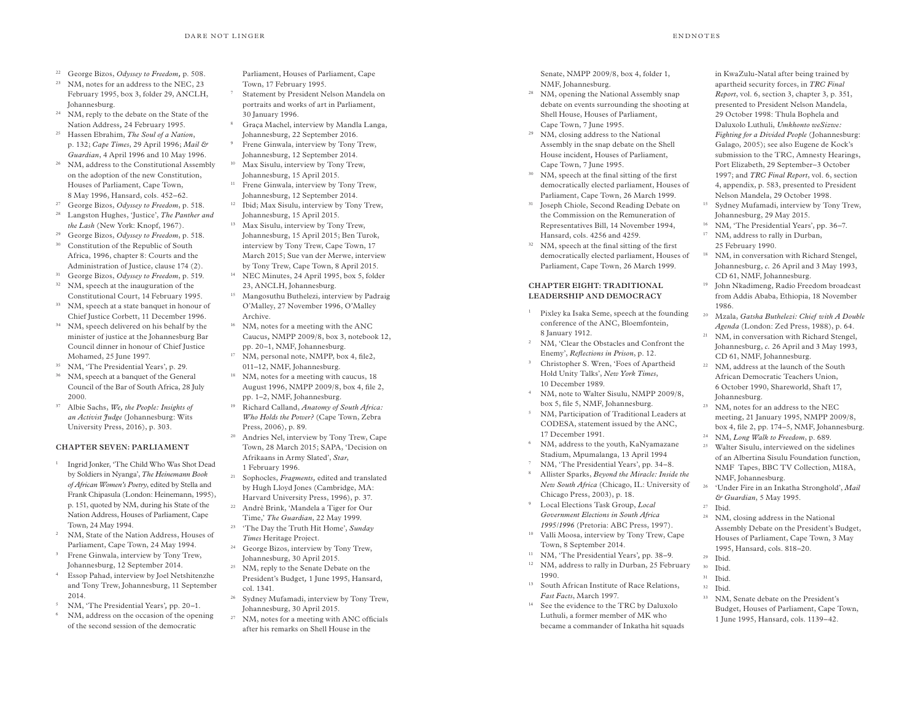- <sup>22</sup> George Bizos, *Odyssey to Freedom,* p. 508.
- <sup>23</sup> NM, notes for an address to the NEC, 23 February 1995, box 3, folder 29, ANCLH, Johannesburg.
- <sup>24</sup> NM, reply to the debate on the State of the Nation Address*,* 24 February 1995.
- <sup>25</sup> Hassen Ebrahim, *The Soul of a Nation*, p. 132; *Cape Times*, 29 April 1996; *Mail & Guardian*, 4 April 1996 and 10 May 1996.
- <sup>26</sup> NM, address to the Constitutional Assembly on the adoption of the new Constitution, Houses of Parliament, Cape Town, 8 May 1996, Hansard, cols. 452–62.
- <sup>27</sup> George Bizos, *Odyssey to Freedom*, p. 518.
- <sup>28</sup> Langston Hughes, 'Justice', *The Panther and*
- *the Lash* (New York: Knopf, 1967). <sup>29</sup> George Bizos, *Odyssey to Freedom*, p. 518.
- <sup>30</sup> Constitution of the Republic of South
- Africa, 1996, chapter 8: Courts and the Administration of Justice, clause 174 (2).
- <sup>31</sup> George Bizos, *Odyssey to Freedom*, p. 519. <sup>32</sup> NM, speech at the inauguration of the Constitutional Court, 14 February 1995.
- <sup>33</sup> NM, speech at a state banquet in honour of Chief Justice Corbett, 11 December 1996.
- <sup>34</sup> NM, speech delivered on his behalf by the minister of justice at the Johannesburg Bar Council dinner in honour of Chief Justice Mohamed, 25 June 1997.
- NM, 'The Presidential Years', p. 29.
- <sup>36</sup> NM, speech at a banquet of the General Council of the Bar of South Africa, 28 July 2000.
- <sup>37</sup> Albie Sachs, *We, the People: Insights of an Activist Judge* (Johannesburg: Wits University Press, 2016), p. 303.

#### **CHAPTER SEVEN: PARLIAMENT**

- <sup>1</sup> Ingrid Jonker, 'The Child Who Was Shot Dead by Soldiers in Nyanga', *The Heinemann Book of African Women's Poetry*, edited by Stella and Frank Chipasula (London: Heinemann, 1995), p. 151, quoted by NM, during his State of the Nation Address, Houses of Parliament, Cape Town, 24 May 1994.
- <sup>2</sup> NM, State of the Nation Address, Houses of Parliament, Cape Town, 24 May 1994.
- <sup>3</sup> Frene Ginwala, interview by Tony Trew, Johannesburg, 12 September 2014.
- Essop Pahad, interview by Joel Netshitenzhe and Tony Trew, Johannesburg, 11 September 2014.
- <sup>5</sup> NM, 'The Presidential Years'*,* pp. 20–1.
- NM, address on the occasion of the opening of the second session of the democratic

Parliament, Houses of Parliament, Cape Town, 17 February 1995.

- Statement by President Nelson Mandela on portraits and works of art in Parliament, 30 January 1996.
- <sup>8</sup> Graça Machel, interview by Mandla Langa, Johannesburg, 22 September 2016.
- <sup>9</sup> Frene Ginwala, interview by Tony Trew, Johannesburg, 12 September 2014. <sup>10</sup> Max Sisulu, interview by Tony Trew,
- Johannesburg, 15 April 2015. <sup>11</sup> Frene Ginwala, interview by Tony Trew,
- Johannesburg, 12 September 2014. <sup>12</sup> Ibid; Max Sisulu, interview by Tony Trew, Johannesburg, 15 April 2015.
- <sup>13</sup> Max Sisulu, interview by Tony Trew, Johannesburg, 15 April 2015; Ben Turok, interview by Tony Trew, Cape Town, 17 March 2015; Sue van der Merwe, interview by Tony Trew, Cape Town, 8 April 2015.
- <sup>14</sup> NEC Minutes, 24 April 1995, box 5, folder 23, ANCLH, Johannesburg.
- <sup>15</sup> Mangosuthu Buthelezi, interview by Padraig O'Malley, 27 November 1996, O'Malley Archive.
- <sup>16</sup> NM, notes for a meeting with the ANC Caucus*,* NMPP 2009/8, box 3, notebook 12, pp. 20–1, NMF, Johannesburg.
- <sup>17</sup> NM, personal note, NMPP, box 4, file2, 011–12, NMF, Johannesburg.
- <sup>18</sup> NM, notes for a meeting with caucus, 18 August 1996, NMPP 2009/8, box 4, file 2, pp. 1–2, NMF, Johannesburg.
- <sup>19</sup> Richard Calland, *Anatomy of South Africa: Who Holds the Power?* (Cape Town, Zebra Press, 2006), p. 89.
- <sup>20</sup> Andries Nel, interview by Tony Trew, Cape Town, 28 March 2015; SAPA, 'Decision on Afrikaans in Army Slated', *Star*, 1 February 1996.
- <sup>21</sup> Sophocles, *Fragments,* edited and translated by Hugh Lloyd Jones (Cambridge, MA: Harvard University Press, 1996), p. 37.
- <sup>22</sup> André Brink, 'Mandela a Tiger for Our Time,' *The Guardian*, 22 May 1999. <sup>23</sup> 'The Day the Truth Hit Home', *Sunday*
- *Times* Heritage Project. <sup>24</sup> George Bizos, interview by Tony Trew,
- Johannesburg, 30 April 2015. <sup>25</sup> NM, reply to the Senate Debate on the
- President's Budget*,* 1 June 1995, Hansard, col. 1341. <sup>26</sup> Sydney Mufamadi, interview by Tony Trew,
- Johannesburg, 30 April 2015.
- <sup>27</sup> NM, notes for a meeting with ANC officials after his remarks on Shell House in the

Senate, NMPP 2009/8, box 4, folder 1, NMF, Johannesburg.

- <sup>28</sup> NM, opening the National Assembly snap debate on events surrounding the shooting at Shell House, Houses of Parliament, Cape Town, 7 June 1995.
- <sup>29</sup> NM, closing address to the National Assembly in the snap debate on the Shell House incident*,* Houses of Parliament, Cape Town, 7 June 1995.
- <sup>30</sup> NM, speech at the final sitting of the first democratically elected parliament, Houses of Parliament, Cape Town, 26 March 1999.
- <sup>31</sup> Joseph Chiole, Second Reading Debate on the Commission on the Remuneration of Representatives Bill, 14 November 1994, Hansard, cols. 4256 and 4259.
- <sup>32</sup> NM, speech at the final sitting of the first democratically elected parliament, Houses of Parliament, Cape Town, 26 March 1999.

#### **CHAPTER EIGHT: TRADITIONAL LEADERSHIP AND DEMOCRACY**

- <sup>1</sup> Pixley ka Isaka Seme, speech at the founding conference of the ANC, Bloemfontein, 8 January 1912.
- <sup>2</sup> NM, 'Clear the Obstacles and Confront the Enemy', *Reflections in Prison*, p. 12.
- <sup>3</sup> Christopher S. Wren, 'Foes of Apartheid Hold Unity Talks', *New York Times*, 10 December 1989.
- NM, note to Walter Sisulu, NMPP 2009/8, box 5, file 5, NMF, Johannesburg.
- <sup>5</sup> NM, Participation of Traditional Leaders at CODESA, statement issued by the ANC, 17 December 1991.
- <sup>6</sup> NM, address to the youth, KaNyamazane Stadium, Mpumalanga, 13 April 1994
- NM, 'The Presidential Years', pp. 34–8.
- <sup>8</sup> Allister Sparks, *Beyond the Miracle: Inside the New South Africa* (Chicago, IL: University of Chicago Press, 2003), p. 18.
- <sup>9</sup> Local Elections Task Group, *Local Government Elections in South Africa 1995/1996* (Pretoria: ABC Press, 1997).
- <sup>10</sup> Valli Moosa, interview by Tony Trew, Cape Town, 8 September 2014.
- <sup>11</sup> NM, 'The Presidential Years'*,* pp. 38–9.
- <sup>12</sup> NM, address to rally in Durban, 25 February 1990.
- <sup>13</sup> South African Institute of Race Relations, *Fast Facts*, March 1997.
- <sup>14</sup> See the evidence to the TRC by Daluxolo Luthuli, a former member of MK who became a commander of Inkatha hit squads

in KwaZulu-Natal after being trained by apartheid security forces, in *TRC Final Report*, vol. 6, section 3, chapter 3, p. 351, presented to President Nelson Mandela, 29 October 1998: Thula Bophela and Daluxolo Luthuli, *Umkhonto weSizwe: Fighting for a Divided People* (Johannesburg: Galago, 2005); see also Eugene de Kock's submission to the TRC, Amnesty Hearings, Port Elizabeth, 29 September–3 October 1997; and *TRC Final Report*, vol. 6, section 4, appendix, p. 583, presented to President Nelson Mandela, 29 October 1998.

- <sup>15</sup> Sydney Mufamadi, interview by Tony Trew, Johannesburg, 29 May 2015.
- <sup>16</sup> NM, 'The Presidential Years', pp. 36–7.
- <sup>17</sup> NM, address to rally in Durban, 25 February 1990.
- <sup>18</sup> NM, in conversation with Richard Stengel, Johannesburg, *c.* 26 April and 3 May 1993, CD 61, NMF, Johannesburg.
- <sup>19</sup> John Nkadimeng, Radio Freedom broadcast from Addis Ababa, Ethiopia, 18 November 1986.
- <sup>20</sup> Mzala, *Gatsha Buthelezi: Chief with A Double Agenda* (London: Zed Press, 1988), p. 64.
- <sup>21</sup> NM, in conversation with Richard Stengel, Johannesburg, *c.* 26 April and 3 May 1993, CD 61, NMF, Johannesburg.
- <sup>22</sup> NM, address at the launch of the South African Democratic Teachers Union, 6 October 1990, Shareworld, Shaft 17, Johannesburg.
- <sup>23</sup> NM, notes for an address to the NEC meeting, 21 January 1995, NMPP 2009/8, box 4, file 2, pp. 174–5, NMF, Johannesburg.
- <sup>24</sup> NM, *Long Walk to Freedom*, p. 689. <sup>25</sup> Walter Sisulu, interviewed on the sidelines of an Albertina Sisulu Foundation function, NMF Tapes, BBC TV Collection, M18A, NMF, Johannesburg.
- <sup>26</sup> 'Under Fire in an Inkatha Stronghold', *Mail & Guardian*, 5 May 1995. <sup>27</sup> Ibid.
- <sup>28</sup> NM, closing address in the National Assembly Debate on the President's Budget, Houses of Parliament, Cape Town, 3 May 1995, Hansard, cols. 818–20.
- $^{29}$  Ibid.
- Ibid.  $31$  Ibid.
- <sup>32</sup> Ibid.
- <sup>33</sup> NM, Senate debate on the President's Budget, Houses of Parliament, Cape Town, 1 June 1995, Hansard, cols. 1139–42.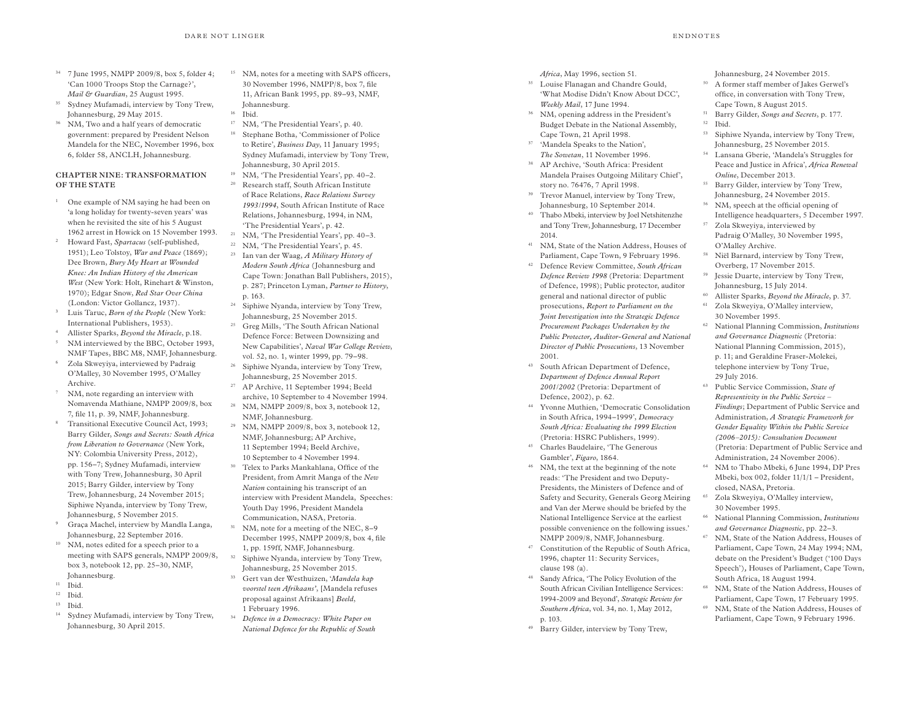18

- <sup>34</sup> 7 June 1995, NMPP 2009/8, box 5, folder 4; 'Can 1000 Troops Stop the Carnage?', *Mail & Guardian*, 25 August 1995.
- 35 Sydney Mufamadi, interview by Tony Trew, Johannesburg, 29 May 2015.
- 36 NM, Two and a half years of democratic government: prepared by President Nelson Mandela for the NEC *,* November 1996, box 6, folder 58, ANCLH, Johannesburg.

## **CHAPTER NINE: TRANSFORMATION OF THE STATE**

- <sup>1</sup> One example of NM saying he had been on 'a long holiday for twenty-seven years' was when he revisited the site of his 5 August 1962 arrest in Howick on 15 November 1993.
- Howard Fast, *Spartacus* (self-published, 1951); Leo Tolstoy, *War and Peace* (1869); Dee Brown, *Bury My Heart at Wounded Knee: An Indian History of the American West* (New York: Holt, Rinehart & Winston, 1970); Edgar Snow, *Red Star Over China* (London: Victor Gollancz, 1937).
- 3 Luis Taruc, *Born of the People* (New York: International Publishers, 1953).
- 4 Allister Sparks, *Beyond the Miracle*, p.18.
- 5 NM interviewed by the BBC, October 1993, NMF Tapes, BBC M8, NMF, Johannesburg.
- 6 Zola Skweyiya, interviewed by Padraig O'Malley, 30 November 1995, O'Malley Archive.
- 7 NM, note regarding an interview with Nomavenda Mathiane, NMPP 2009/8, box 7, file 11, p. 39, NMF, Johannesburg.
- 8 Transitional Executive Council Act, 1993; Barry Gilder, *Songs and Secrets: South Africa from Liberation to Governance* (New York, NY: Colombia University Press, 2012), pp. 156–7; Sydney Mufamadi, interview with Tony Trew, Johannesburg, 30 April 2015; Barry Gilder, interview by Tony Trew, Johannesburg, 24 November 2015; Siphiwe Nyanda, interview by Tony Trew, Johannesburg, 5 November 2015.
- 9 Graça Machel, interview by Mandla Langa, Johannesburg, 22 September 2016.
- <sup>10</sup> NM, notes edited for a speech prior to a meeting with SAPS generals, NMPP 2009/8, box 3, notebook 12, pp. 25–30, NMF, Johannesburg.
- $11$  Ibid.
- <sup>12</sup> Ibid.
- <sup>13</sup> Ibid.
- 14 Sydney Mufamadi, interview by Tony Trew, Johannesburg, 30 April 2015.
- <sup>15</sup> NM, notes for a meeting with SAPS officers, 30 November 1996, NMPP/8, box 7, file 11, African Bank 1995, pp. 89–93, NMF, Johannesburg.
- 16 Ibid. 17 NM, 'The Presidential Years', p. 40.
- Stephane Botha, 'Commissioner of Police to Retire', *Business Day*, 11 January 1995; Sydney Mufamadi, interview by Tony Trew, Johannesburg, 30 April 2015.
- 19 NM, 'The Presidential Years', pp. 40–2. 20 Research staff, South African Institute of Race Relations, *Race Relations Survey 1993/1994*, South African Institute of Race Relations, Johannesburg, 1994, in NM, 'The Presidential Years', p. 42.
- 21 NM, 'The Presidential Years', pp. 40–3.
- 22 NM, 'The Presidential Years', p. 45. 23 Ian van der Waag, *A Military History of Modern South Africa* (Johannesburg and Cape Town: Jonathan Ball Publishers, 2015), p. 287; Princeton Lyman, *Partner to History*, p. 163.
- 24 Siphiwe Nyanda, interview by Tony Trew, Johannesburg, 25 November 2015.
- 25 Greg Mills, 'The South African National Defence Force: Between Downsizing and New Capabilities', *Naval War College Review*, vol. 52, no. 1, winter 1999, pp. 79–98.
- 26 Siphiwe Nyanda, interview by Tony Trew, Johannesburg, 25 November 2015. 27 AP Archive, 11 September 1994; Beeld
- archive, 10 September to 4 November 1994. 28 NM, NMPP 2009/8, box 3, notebook 12, NMF, Johannesburg.
- 29 NM, NMPP 2009/8, box 3, notebook 12, NMF, Johannesburg; AP Archive, 11 September 1994; Beeld Archive, 10 September to 4 November 1994.
- 30 Telex to Parks Mankahlana, Office of the President, from Amrit Manga of the *New Nation* containing his transcript of an interview with President Mandela, Speeches: Youth Day 1996, President Mandela Communication, NASA, Pretoria.
- 31 NM, note for a meeting of the NEC, 8–9 December 1995, NMPP 2009/8, box 4, file 1, pp. 159ff, NMF, Johannesburg.
- 32 Siphiwe Nyanda, interview by Tony Trew, Johannesburg, 25 November 2015.
- 33 Gert van der Westhuizen, '*Mandela kap voorstel teen Afrikaans'*, [Mandela refuses proposal against Afrikaans] *Beeld*, 1 February 1996.
- <sup>34</sup> *Defence in a Democracy: White Paper on National Defence for the Republic of South*
- *Africa*, May 1996, section 51.
- 35 Louise Flanagan and Chandre Gould, 'What Modise Didn't Know About DCC', *Weekly Mail*, 17 June 1994.
- 36 NM, opening address in the President's Budget Debate in the National Assembly, Cape Town, 21 April 1998.
- 37 'Mandela Speaks to the Nation', *The Sowetan*, 11 November 1996.
- 38 AP Archive, 'South Africa: President Mandela Praises Outgoing Military Chief', story no. 76476, 7 April 1998.
- 39 Trevor Manuel, interview by Tony Trew, Johannesburg, 10 September 2014.
- 40 Thabo Mbeki, interview by Joel Netshitenzhe and Tony Trew, Johannesburg, 17 December 2014.
- 41 NM, State of the Nation Address, Houses of Parliament, Cape Town, 9 February 1996.
- 42 Defence Review Committee, *South African Defence Review 1998* (Pretoria: Department of Defence, 1998); Public protector, auditor general and national director of public prosecutions, *Report to Parliament on the Joint Investigation into the Strategic Defence Procurement Packages Undertaken by the Public Protector, Auditor-General and National Director of Public Prosecutions*, 13 November 2001.
- 43 South African Department of Defence, *Department of Defence Annual Report 2001/2002* (Pretoria: Department of Defence, 2002), p. 62.
- 44 Yvonne Muthien, 'Democratic Consolidation in South Africa, 1994–1999', *Democracy South Africa: Evaluating the 1999 Election* (Pretoria: HSRC Publishers, 1999).
- 45 Charles Baudelaire, 'The Generous Gambler', *Figaro*, 1864.
- 46 NM, the text at the beginning of the note reads: 'The President and two Deputy-Presidents, the Ministers of Defence and of Safety and Security, Generals Georg Meiring and Van der Merwe should be briefed by the National Intelligence Service at the earliest possible convenience on the following issues.' NMPP 2009/8, NMF, Johannesburg.
- 47 Constitution of the Republic of South Africa, 1996, chapter 11: Security Services, clause 198 (a).
- 48 Sandy Africa, 'The Policy Evolution of the South African Civilian Intelligence Services: 1994-2009 and Beyond', *Strategic Review for Southern Africa*, vol. 34, no. 1, May 2012, p. 103.
- 49 Barry Gilder, interview by Tony Trew,

Johannesburg, 24 November 2015.

- <sup>50</sup> A former staff member of Jakes Gerwel's office, in conversation with Tony Trew, Cape Town, 8 August 2015.
- 51 Barry Gilder, *Songs and Secrets*, p. 177.
- <sup>52</sup> Ibid. 53 Siphiwe Nyanda, interview by Tony Trew,
- Johannesburg, 25 November 2015.
- 54 Lansana Gberie, 'Mandela's Struggles for Peace and Justice in Africa', *Africa Renewal Online*, December 2013.
- 55 Barry Gilder, interview by Tony Trew, Johannesburg, 24 November 2015.
- 56 NM, speech at the official opening of Intelligence headquarters, 5 December 1997.
- 57 Zola Skweyiya, interviewed by Padraig O'Malley, 30 November 1995, O'Malley Archive.
- 58 Niël Barnard, interview by Tony Trew, Overberg, 17 November 2015.
- 59 Jessie Duarte, interview by Tony Trew, Johannesburg, 15 July 2014.
- 60 Allister Sparks, *Beyond the Miracle*, p. 37.
- 61 Zola Skweyiya, O'Malley interview, 30 November 1995.
- 62 National Planning Commission, *Institutions and Governance Diagnostic* (Pretoria: National Planning Commission, 2015), p. 11; and Geraldine Fraser-Molekei, telephone interview by Tony True, 29 July 2016.
- 63 Public Service Commission, *State of Representivity in the Public Service – Findings*; Department of Public Service and Administration, *A Strategic Framework for Gender Equality Within the Public Service (2006–2015): Consultation Document* (Pretoria: Department of Public Service and Administration, 24 November 2006).
- 64 NM to Thabo Mbeki, 6 June 1994, DP Pres Mbeki, box 002, folder 11/1/1 – President, closed, NASA, Pretoria.
- 65 Zola Skweyiya, O'Malley interview, 30 November 1995.
- 66 National Planning Commission, *Institutions and Governance Diagnostic*, pp. 22–3.
- 67 NM, State of the Nation Address, Houses of Parliament, Cape Town, 24 May 1994; NM, debate on the President's Budget ('100 Days Speech')*,* Houses of Parliament, Cape Town, South Africa, 18 August 1994.
- 68 NM, State of the Nation Address, Houses of Parliament, Cape Town, 17 February 1995.
- 69 NM, State of the Nation Address, Houses of Parliament, Cape Town, 9 February 1996.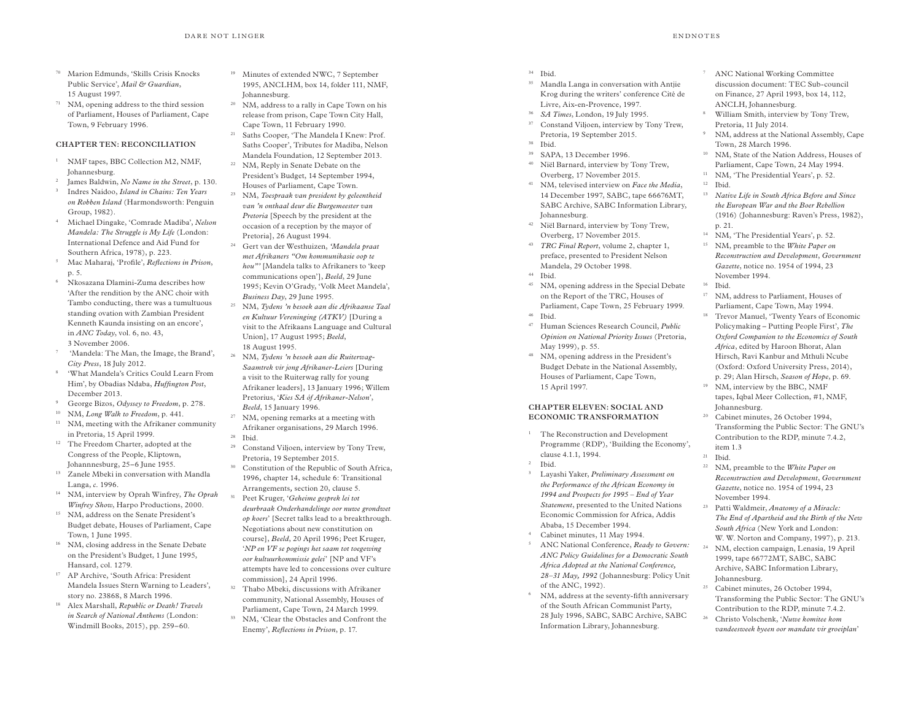- <sup>70</sup> Marion Edmunds, 'Skills Crisis Knocks Public Service', *Mail & Guardian*, 15 August 1997.
- <sup>71</sup> NM, opening address to the third session of Parliament, Houses of Parliament, Cape Town, 9 February 1996.

## **CHAPTER TEN: RECONCILIATION**

- <sup>1</sup> NMF tapes, BBC Collection M2, NMF, Johannesburg.
- <sup>2</sup> James Baldwin, *No Name in the Street*, p. 130.
- <sup>3</sup> Indres Naidoo, *Island in Chains: Ten Years on Robben Island* (Harmondsworth: Penguin Group, 1982).
- <sup>4</sup> Michael Dingake, 'Comrade Madiba', *Nelson Mandela: The Struggle is My Life* (London: International Defence and Aid Fund for Southern Africa, 1978), p. 223.
- <sup>5</sup> Mac Maharaj, 'Profile', *Reflections in Prison*, p. 5.
- <sup>6</sup> Nkosazana Dlamini-Zuma describes how 'After the rendition by the ANC choir with Tambo conducting, there was a tumultuous standing ovation with Zambian President Kenneth Kaunda insisting on an encore', in *ANC Today*, vol. 6, no. 43, 3 November 2006.
- 'Mandela: The Man, the Image, the Brand', *City Press*, 18 July 2012.
- 'What Mandela's Critics Could Learn From Him', by Obadias Ndaba, *Huffington Post*, December 2013.
- <sup>9</sup> George Bizos, *Odyssey to Freedom*, p. 278.
- <sup>10</sup> NM, *Long Walk to Freedom*, p. 441.
- <sup>11</sup> NM, meeting with the Afrikaner community in Pretoria, 15 April 1999.
- <sup>12</sup> The Freedom Charter, adopted at the Congress of the People, Kliptown, Johannnesburg, 25–6 June 1955.
- <sup>13</sup> Zanele Mbeki in conversation with Mandla Langa, *c*. 1996.
- <sup>14</sup> NM, interview by Oprah Winfrey, *The Oprah Winfrey Show*, Harpo Productions, 2000.
- NM, address on the Senate President's Budget debate, Houses of Parliament, Cape Town, 1 June 1995.
- <sup>16</sup> NM, closing address in the Senate Debate on the President's Budget, 1 June 1995, Hansard, col. 1279.
- <sup>17</sup> AP Archive, 'South Africa: President Mandela Issues Stern Warning to Leaders', story no. 23868, 8 March 1996.
- <sup>18</sup> Alex Marshall, *Republic or Death! Travels in Search of National Anthems* (London: Windmill Books, 2015), pp. 259–60.
- <sup>19</sup> Minutes of extended NWC, 7 September 1995, ANCLHM, box 14, folder 111, NMF, Johannesburg.
- <sup>20</sup> NM, address to a rally in Cape Town on his release from prison, Cape Town City Hall, Cape Town, 11 February 1990.
- <sup>21</sup> Saths Cooper, 'The Mandela I Knew: Prof. Saths Cooper', Tributes for Madiba, Nelson Mandela Foundation, 12 September 2013. <sup>22</sup> NM, Reply in Senate Debate on the
- President's Budget, 14 September 1994, Houses of Parliament, Cape Town.
- <sup>23</sup> NM, *Toespraak van president by geleentheid van 'n onthaal deur die Burgemeester van Pretoria* [Speech by the president at the occasion of a reception by the mayor of Pretoria], 26 August 1994.
- <sup>24</sup> Gert van der Westhuizen, *'Mandela praat met Afrikaners "Om kommunikasie oop te hou"'* [Mandela talks to Afrikaners to 'keep communications open'], *Beeld*, 29 June 1995; Kevin O'Grady, 'Volk Meet Mandela', *Business Day*, 29 June 1995.
- <sup>25</sup> NM, *Tydens 'n besoek aan die Afrikaanse Taal en Kultuur Vereninging (ATKV)* [During a visit to the Afrikaans Language and Cultural Union], 17 August 1995; *Beeld*, 18 August 1995.
- <sup>26</sup> NM, *Tydens 'n besoek aan die Ruiterwag-Saamtrek vir jong Afrikaner-Leiers* [During a visit to the Ruiterwag rally for young Afrikaner leaders], 13 January 1996; Willem Pretorius, '*Kies SA óf Afrikaner-Nelson*', *Beeld*, 15 January 1996.
- <sup>27</sup> NM, opening remarks at a meeting with Afrikaner organisations, 29 March 1996. <sup>28</sup> Ibid.
- 
- <sup>29</sup> Constand Viljoen, interview by Tony Trew, Pretoria, 19 September 2015.
- <sup>30</sup> Constitution of the Republic of South Africa, 1996*,* chapter 14, schedule 6: Transitional Arrangements*,* section 20, clause 5.
- <sup>31</sup> Peet Kruger, '*Geheime gesprek lei tot deurbraak Onderhandelinge oor nuwe grondwet op koers*' [Secret talks lead to a breakthrough. Negotiations about new constitution on course], *Beeld*, 20 April 1996; Peet Kruger, '*NP en VF se pogings het saam tot toegewing oor kultuurkommissie gelei*' [NP and VF's attempts have led to concessions over culture commission], 24 April 1996.
- <sup>32</sup> Thabo Mbeki, discussions with Afrikaner community, National Assembly, Houses of Parliament, Cape Town, 24 March 1999.
- <sup>33</sup> NM, 'Clear the Obstacles and Confront the Enemy', *Reflections in Prison*, p. 17.
- <sup>34</sup> Ibid.
- <sup>35</sup> Mandla Langa in conversation with Antjie Krog during the writers' conference Cité de Livre, Aix-en-Provence, 1997.
- <sup>36</sup> *SA Times*, London, 19 July 1995.
- <sup>37</sup> Constand Viljoen, interview by Tony Trew, Pretoria, 19 September 2015.
- <sup>38</sup> Ibid.
- <sup>39</sup> SAPA, 13 December 1996. <sup>40</sup> Niël Barnard, interview by Tony Trew, Overberg, 17 November 2015.
- <sup>41</sup> NM, televised interview on *Face the Media*, 14 December 1997, SABC, tape 66676MT, SABC Archive, SABC Information Library, Johannesburg.
- <sup>42</sup> Niël Barnard, interview by Tony Trew, Overberg, 17 November 2015.
- <sup>43</sup> *TRC Final Report*, volume 2, chapter 1, preface, presented to President Nelson Mandela, 29 October 1998.
- <sup>44</sup> Ibid.
- NM, opening address in the Special Debate on the Report of the TRC, Houses of Parliament, Cape Town, 25 February 1999.
- <sup>46</sup> Ibid.
- <sup>47</sup> Human Sciences Research Council, *Public Opinion on National Priority Issues* (Pretoria, May 1999), p. 55.
- <sup>48</sup> NM, opening address in the President's Budget Debate in the National Assembly, Houses of Parliament, Cape Town, 15 April 1997.

#### **CHAPTER ELEVEN: SOCIAL AND ECONOMIC TRANSFORMATION**

- <sup>1</sup> The Reconstruction and Development Programme (RDP), 'Building the Economy', clause 4.1.1, 1994.
- <sup>2</sup> Ibid.
- <sup>3</sup> Layashi Yaker, *Preliminary Assessment on the Performance of the African Economy in 1994 and Prospects for 1995 – End of Year Statement*, presented to the United Nations Economic Commission for Africa, Addis Ababa, 15 December 1994.
- Cabinet minutes, 11 May 1994.
- <sup>5</sup> ANC National Conference, *Ready to Govern: ANC Policy Guidelines for a Democratic South Africa Adopted at the National Conference, 28–31 May, 1992* (Johannesburg: Policy Unit of the ANC, 1992).
- NM, address at the seventy-fifth anniversary of the South African Communist Party, 28 July 1996, SABC, SABC Archive, SABC Information Library, Johannesburg.
- <sup>7</sup> ANC National Working Committee discussion document: TEC Sub-council on Finance, 27 April 1993, box 14, 112, ANCLH, Johannesburg.
- <sup>8</sup> William Smith, interview by Tony Trew, Pretoria, 11 July 2014.
- NM, address at the National Assembly, Cape Town, 28 March 1996.
- <sup>10</sup> NM, State of the Nation Address, Houses of Parliament, Cape Town, 24 May 1994.
- <sup>11</sup> NM, 'The Presidential Years', p. 52.
- <sup>12</sup> Ibid.
- <sup>13</sup> *Native Life in South Africa Before and Since the European War and the Boer Rebellion* (1916) (Johannesburg: Raven's Press, 1982), p. 21.
- <sup>14</sup> NM, 'The Presidential Years', p. 52.
- <sup>15</sup> NM, preamble to the *White Paper on Reconstruction and Development*, *Government Gazette*, notice no. 1954 of 1994, 23 November 1994.
- <sup>16</sup> Ibid.
- <sup>17</sup> NM, address to Parliament, Houses of Parliament, Cape Town, May 1994.
- <sup>18</sup> Trevor Manuel, 'Twenty Years of Economic Policymaking – Putting People First', *The Oxford Companion to the Economics of South Africa*, edited by Haroon Bhorat, Alan Hirsch, Ravi Kanbur and Mthuli Ncube (Oxford: Oxford University Press, 2014), p. 29; Alan Hirsch, *Season of Hope*, p. 69.
- <sup>19</sup> NM, interview by the BBC, NMF tapes, Iqbal Meer Collection, #1, NMF, Johannesburg.
- <sup>20</sup> Cabinet minutes, 26 October 1994, Transforming the Public Sector: The GNU's Contribution to the RDP, minute 7.4.2, item 1.3
- $21$  Ibid.
- <sup>22</sup> NM, preamble to the *White Paper on Reconstruction and Development*, *Government Gazette*, notice no. 1954 of 1994, 23 November 1994.
- <sup>23</sup> Patti Waldmeir, *Anatomy of a Miracle: The End of Apartheid and the Birth of the New South Africa* (New York and London: W. W. Norton and Company, 1997), p. 213.
- <sup>24</sup> NM, election campaign, Lenasia, 19 April 1999, tape 66772MT, SABC, SABC Archive, SABC Information Library, Johannesburg.
- <sup>25</sup> Cabinet minutes, 26 October 1994, Transforming the Public Sector: The GNU's Contribution to the RDP, minute 7.4.2.
- <sup>26</sup> Christo Volschenk, '*Nuwe komitee kom vandeesweek byeen oor mandate vir groeiplan*'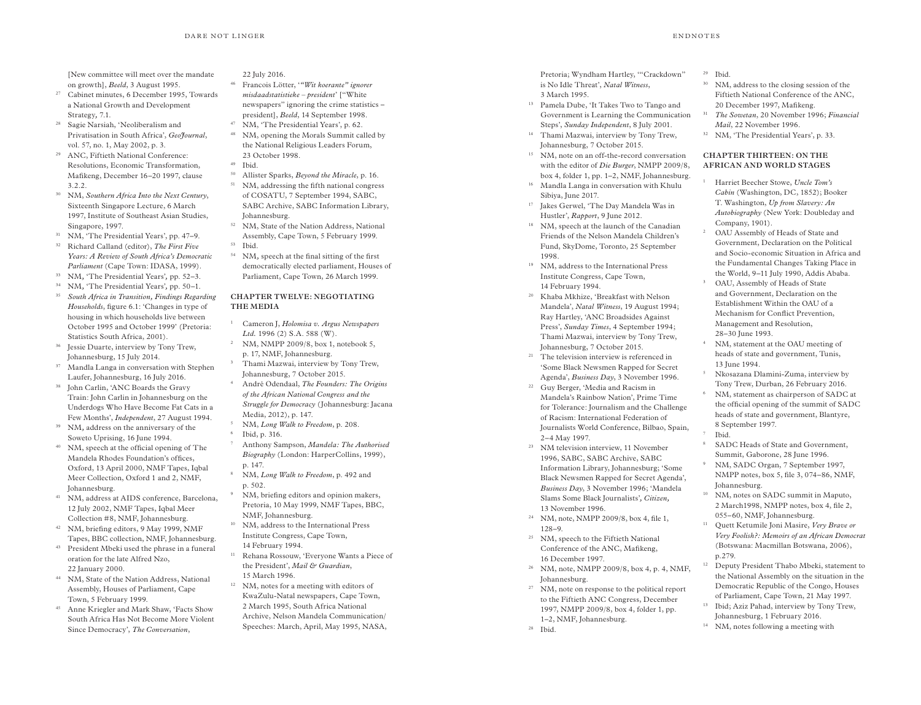[New committee will meet over the mandate on growth], *Beeld*, 3 August 1995.

- 27 Cabinet minutes, 6 December 1995, Towards a National Growth and Development Strategy*,* 7.1.
- 28 Sagie Narsiah, 'Neoliberalism and Privatisation in South Africa', *GeoJournal*, vol. 57, no. 1, May 2002, p. 3.
- 29 ANC, Fiftieth National Conference: Resolutions, Economic Transformation, Mafikeng, December 16–20 1997, clause 3.2.2.
- <sup>30</sup> NM, *Southern Africa Into the Next Century*, Sixteenth Singapore Lecture, 6 March 1997, Institute of Southeast Asian Studies, Singapore, 1997.
- 31 NM, 'The Presidential Years', pp. 47–9.
- 32 Richard Calland (editor), *The First Five Years: A Review of South Africa's Democratic Parliament* (Cape Town: IDASA, 1999).
- <sup>33</sup> NM*,* 'The Presidential Years'*,* pp. 52–3.
- <sup>34</sup> NM*,* 'The Presidential Years'*,* pp. 50–1.
- <sup>35</sup> *South Africa in Transition, Findings Regarding Households*, figure 6.1: 'Changes in type of housing in which households live between October 1995 and October 1999' (Pretoria: Statistics South Africa, 2001).
- 36 Jessie Duarte, interview by Tony Trew, Johannesburg, 15 July 2014.
- 37 Mandla Langa in conversation with Stephen Laufer, Johannesburg, 16 July 2016.
- 38 John Carlin, 'ANC Boards the Gravy Train: John Carlin in Johannesburg on the Underdogs Who Have Become Fat Cats in a Few Months', *Independent*, 27 August 1994.
- <sup>39</sup> NM, address on the anniversary of the Soweto Uprising, 16 June 1994.
- 40 NM, speech at the official opening of The Mandela Rhodes Foundation's offices, Oxford, 13 April 2000, NMF Tapes, Iqbal Meer Collection, Oxford 1 and 2, NMF, Johannesburg.
- 41 NM, address at AIDS conference, Barcelona, 12 July 2002, NMF Tapes, Iqbal Meer Collection #8, NMF, Johannesburg.
- 42 NM, briefing editors, 9 May 1999, NMF Tapes, BBC collection, NMF, Johannesburg.
- 43 President Mbeki used the phrase in a funeral oration for the late Alfred Nzo, 22 January 2000.
- 44 NM, State of the Nation Address, National Assembly, Houses of Parliament, Cape Town, 5 February 1999.
- 45 Anne Kriegler and Mark Shaw, 'Facts Show South Africa Has Not Become More Violent Since Democracy', *The Conversation*,

#### 22 July 2016.

- 46 Francois Lötter, '*"Wit koerante" ignorer misdaadstatistieke – president*' ["White newspapers" ignoring the crime statistics – president], *Beeld*, 14 September 1998.
- 47 NM, 'The Presidential Years', p. 62.
- 48 NM, opening the Morals Summit called by the National Religious Leaders Forum, 23 October 1998.
- <sup>49</sup> Ibid.
- 50 Allister Sparks, *Beyond the Miracle*, p. 16. <sup>51</sup> NM, addressing the fifth national congress of COSATU, 7 September 1994, SABC, SABC Archive, SABC Information Library, Johannesburg.
- 52 NM, State of the Nation Address, National Assembly, Cape Town, 5 February 1999.
- <sup>53</sup> Ibid.

3

4

<sup>54</sup> NM*,* speech at the final sitting of the first democratically elected parliament, Houses of Parliament, Cape Town, 26 March 1999.

## **CHAPTER TWELVE: NEGOTIATING THE MEDIA**

- <sup>1</sup> Cameron J, *Holomisa v. Argus Newspapers Ltd.* 1996 (2) S.A. 588 (W).
- 2 NM, NMPP 2009/8, box 1, notebook 5, p. 17, NMF, Johannesburg.
- Thami Mazwai, interview by Tony Trew, Johannesburg, 7 October 2015.
- André Odendaal, *The Founders: The Origins of the African National Congress and the Struggle for Democracy* (Johannesburg: Jacana Media, 2012), p. 147.
- <sup>5</sup> NM, *Long Walk to Freedom*, p. 208. <sup>6</sup> Ibid, p. 316.
- <sup>7</sup> Anthony Sampson, *Mandela: The Authorised Biography* (London: HarperCollins, 1999), p. 147.
- <sup>8</sup> NM, *Long Walk to Freedom*, p. 492 and p. 502.
- 9 NM, briefing editors and opinion makers, Pretoria, 10 May 1999, NMF Tapes, BBC, NMF, Johannesburg.
- 10 NM, address to the International Press Institute Congress, Cape Town, 14 February 1994.
- 11 Rehana Rossouw, 'Everyone Wants a Piece of the President', *Mail & Guardian*, 15 March 1996.
- 12 NM, notes for a meeting with editors of KwaZulu-Natal newspapers, Cape Town, 2 March 1995, South Africa National Archive, Nelson Mandela Communication/ Speeches: March, April, May 1995, NASA,

Pretoria; Wyndham Hartley, '"Crackdown" is No Idle Threat', *Natal Witness*, 3 March 1995.

- 13 Pamela Dube, 'It Takes Two to Tango and Government is Learning the Communication Steps', *Sunday Independent*, 8 July 2001.
- 14 Thami Mazwai, interview by Tony Trew, Johannesburg, 7 October 2015.
- <sup>15</sup> NM, note on an off-the-record conversation with the editor of *Die Burger*, NMPP 2009/8, box 4, folder 1, pp. 1–2, NMF, Johannesburg.
- <sup>16</sup> Mandla Langa in conversation with Khulu Sibiya, June 2017.
- 17 Jakes Gerwel, 'The Day Mandela Was in Hustler', *Rapport*, 9 June 2012.
- <sup>18</sup> NM, speech at the launch of the Canadian Friends of the Nelson Mandela Children's Fund, SkyDome, Toronto, 25 September 1998.
- 19 NM, address to the International Press Institute Congress, Cape Town, 14 February 1994.
- 20 Khaba Mkhize, 'Breakfast with Nelson Mandela', *Natal Witness*, 19 August 1994; Ray Hartley, 'ANC Broadsides Against Press', *Sunday Times*, 4 September 1994; Thami Mazwai, interview by Tony Trew, Johannesburg, 7 October 2015.
- 21 The television interview is referenced in 'Some Black Newsmen Rapped for Secret Agenda', *Business Day*, 3 November 1996.
- 22 Guy Berger, 'Media and Racism in Mandela's Rainbow Nation', Prime Time for Tolerance: Journalism and the Challenge of Racism: International Federation of Journalists World Conference, Bilbao, Spain, 2–4 May 1997.
- 23 NM television interview, 11 November 1996, SABC, SABC Archive, SABC Information Library, Johannesburg; 'Some Black Newsmen Rapped for Secret Agenda', *Business Day*, 3 November 1996; 'Mandela Slams Some Black Journalists'*, Citizen,* 13 November 1996.
- 24 NM, note, NMPP 2009/8, box 4, file 1, 128–9.
- 25 NM, speech to the Fiftieth National Conference of the ANC, Mafikeng, 16 December 1997.
- 26 NM, note, NMPP 2009/8, box 4, p. 4, NMF, Johannesburg.
- <sup>27</sup> NM, note on response to the political report to the Fiftieth ANC Congress, December 1997, NMPP 2009/8, box 4, folder 1, pp. 1–2, NMF, Johannesburg.
- 28 Ibid.

# <sup>29</sup> Ibid.

- 30 NM, address to the closing session of the Fiftieth National Conference of the ANC, 20 December 1997, Mafikeng.
- <sup>31</sup> *The Sowetan*, 20 November 1996; *Financial Mail*, 22 November 1996.
- 32 NM, 'The Presidential Years', p. 33.

## **CHAPTER THIRTEEN: ON THE AFRICAN AND WORLD STAGES**

- <sup>1</sup> Harriet Beecher Stowe, *Uncle Tom's Cabin* (Washington, DC, 1852); Booker T. Washington, *Up from Slavery: An Autobiography* (New York: Doubleday and Company, 1901).
- 2 OAU Assembly of Heads of State and Government, Declaration on the Political and Socio-economic Situation in Africa and the Fundamental Changes Taking Place in the World, 9–11 July 1990, Addis Ababa.
- 3 OAU, Assembly of Heads of State and Government, Declaration on the Establishment Within the OAU of a Mechanism for Conflict Prevention, Management and Resolution, 28–30 June 1993.
- 4 NM, statement at the OAU meeting of heads of state and government, Tunis, 13 June 1994.
- 5 Nkosazana Dlamini-Zuma, interview by Tony Trew, Durban, 26 February 2016.
- 6 NM, statement as chairperson of SADC at the official opening of the summit of SADC heads of state and government, Blantyre, 8 September 1997. <sup>7</sup> Ibid.
- <sup>8</sup> SADC Heads of State and Government, Summit, Gaborone, 28 June 1996.
- 9 NM, SADC Organ, 7 September 1997, NMPP notes, box 5, file 3, 074–86, NMF, Johannesburg.
- <sup>10</sup> NM, notes on SADC summit in Maputo, 2 March1998, NMPP notes, box 4, file 2, 055–60, NMF, Johannesburg.
- 11 Quett Ketumile Joni Masire, *Very Brave or Very Foolish?: Memoirs of an African Democrat* (Botswana: Macmillan Botswana, 2006), p.279.
- <sup>12</sup> Deputy President Thabo Mbeki, statement to the National Assembly on the situation in the Democratic Republic of the Congo, Houses of Parliament, Cape Town, 21 May 1997.
- <sup>13</sup> Ibid; Aziz Pahad, interview by Tony Trew, Johannesburg, 1 February 2016.
- 14 NM, notes following a meeting with